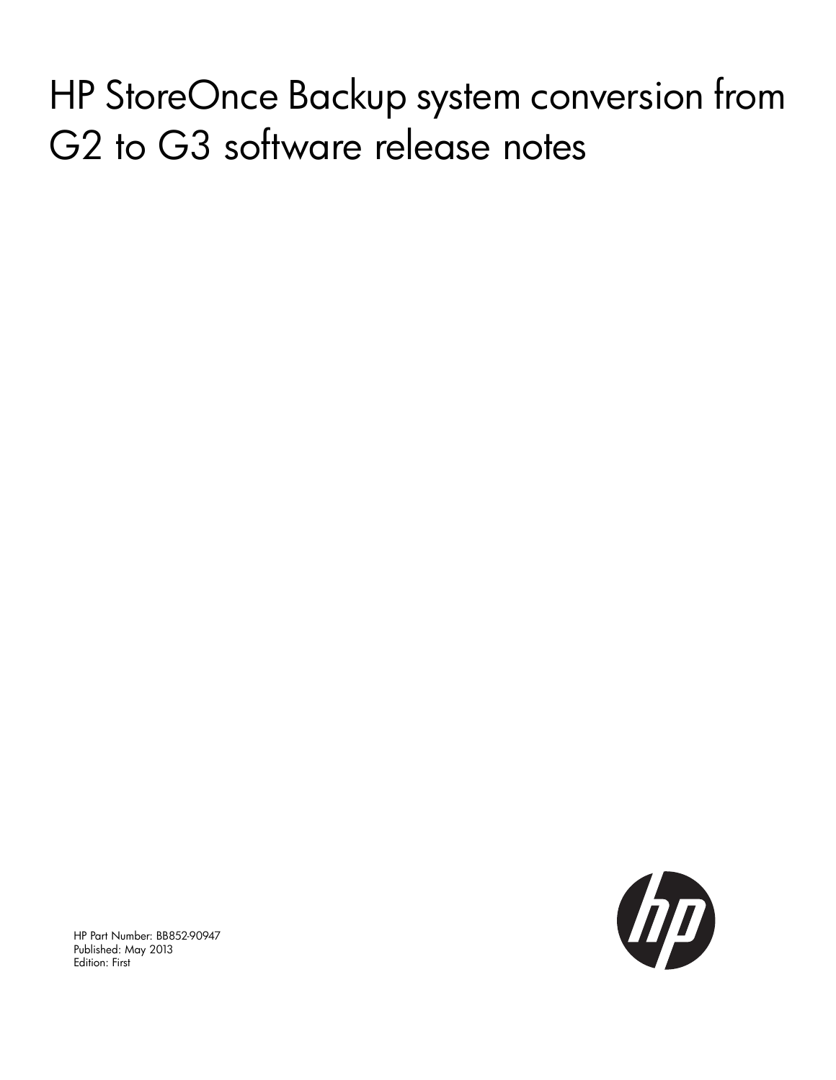HP StoreOnce Backup system conversion from G2 to G3 software release notes



HP Part Number: BB852-90947 Published: May 2013 Edition: First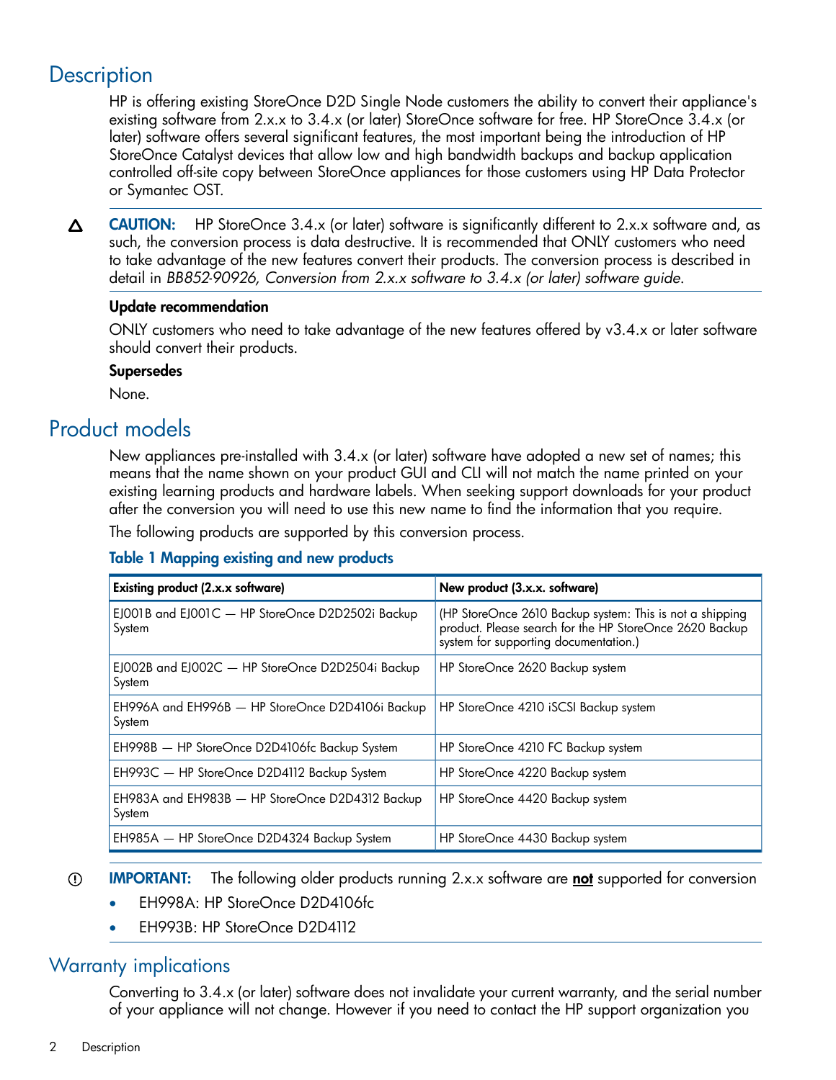# **Description**

HP is offering existing StoreOnce D2D Single Node customers the ability to convert their appliance's existing software from 2.x.x to 3.4.x (or later) StoreOnce software for free. HP StoreOnce 3.4.x (or later) software offers several significant features, the most important being the introduction of HP StoreOnce Catalyst devices that allow low and high bandwidth backups and backup application controlled off-site copy between StoreOnce appliances for those customers using HP Data Protector or Symantec OST.

CAUTION: HP StoreOnce 3.4.x (or later) software is significantly different to 2.x.x software and, as Δ such, the conversion process is data destructive. It is recommended that ONLY customers who need to take advantage of the new features convert their products. The conversion process is described in detail in *BB852-90926, Conversion from 2.x.x software to 3.4.x (or later) software guide*.

#### Update recommendation

ONLY customers who need to take advantage of the new features offered by v3.4.x or later software should convert their products.

#### Supersedes

None.

# Product models

New appliances pre-installed with 3.4.x (or later) software have adopted a new set of names; this means that the name shown on your product GUI and CLI will not match the name printed on your existing learning products and hardware labels. When seeking support downloads for your product after the conversion you will need to use this new name to find the information that you require.

<span id="page-1-0"></span>The following products are supported by this conversion process.

#### Table 1 Mapping existing and new products

| Existing product (2.x.x software)                          | New product (3.x.x. software)                                                                                                                                |
|------------------------------------------------------------|--------------------------------------------------------------------------------------------------------------------------------------------------------------|
| EJ001B and EJ001C - HP StoreOnce D2D2502i Backup<br>System | (HP StoreOnce 2610 Backup system: This is not a shipping<br>product. Please search for the HP StoreOnce 2620 Backup<br>system for supporting documentation.) |
| EJ002B and EJ002C - HP StoreOnce D2D2504i Backup<br>System | HP StoreOnce 2620 Backup system                                                                                                                              |
| EH996A and EH996B - HP StoreOnce D2D4106i Backup<br>System | HP StoreOnce 4210 iSCSI Backup system                                                                                                                        |
| EH998B - HP StoreOnce D2D4106fc Backup System              | HP StoreOnce 4210 FC Backup system                                                                                                                           |
| EH993C - HP StoreOnce D2D4112 Backup System                | HP StoreOnce 4220 Backup system                                                                                                                              |
| EH983A and EH983B - HP StoreOnce D2D4312 Backup<br>System  | HP StoreOnce 4420 Backup system                                                                                                                              |
| EH985A - HP StoreOnce D2D4324 Backup System                | HP StoreOnce 4430 Backup system                                                                                                                              |

#### $\mathcal{L}$ **IMPORTANT:** The following older products running 2.x.x software are not supported for conversion

- EH998A: HP StoreOnce D2D4106fc
- EH993B: HP StoreOnce D2D4112

### Warranty implications

Converting to 3.4.x (or later) software does not invalidate your current warranty, and the serial number of your appliance will not change. However if you need to contact the HP support organization you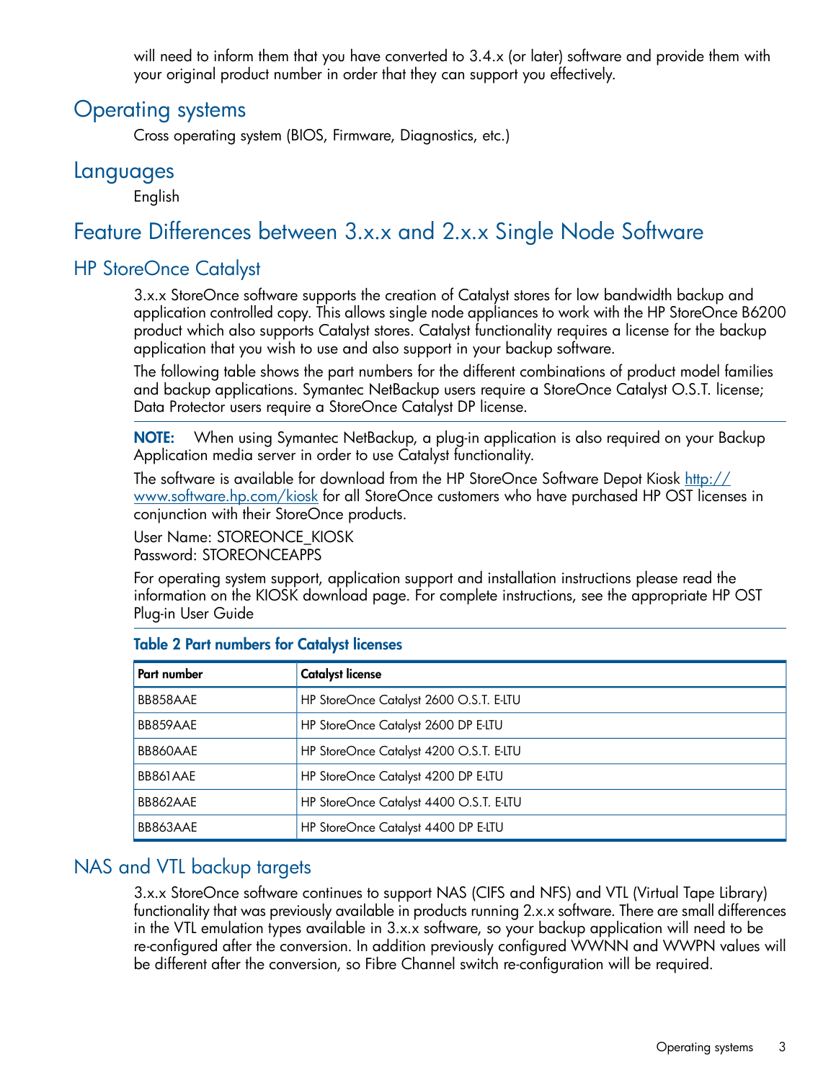will need to inform them that you have converted to 3.4.x (or later) software and provide them with your original product number in order that they can support you effectively.

## Operating systems

Cross operating system (BIOS, Firmware, Diagnostics, etc.)

### **Languages**

English

# Feature Differences between 3.x.x and 2.x.x Single Node Software

### HP StoreOnce Catalyst

3.x.x StoreOnce software supports the creation of Catalyst stores for low bandwidth backup and application controlled copy. This allows single node appliances to work with the HP StoreOnce B6200 product which also supports Catalyst stores. Catalyst functionality requires a license for the backup application that you wish to use and also support in your backup software.

The following table shows the part numbers for the different combinations of product model families and backup applications. Symantec NetBackup users require a StoreOnce Catalyst O.S.T. license; Data Protector users require a StoreOnce Catalyst DP license.

NOTE: When using Symantec NetBackup, a plug-in application is also required on your Backup Application media server in order to use Catalyst functionality.

The software is available for download from the HP StoreOnce Software Depot Kiosk [http://](http://www.software.hp.com/kiosk) [www.software.hp.com/kiosk](http://www.software.hp.com/kiosk) for all StoreOnce customers who have purchased HP OST licenses in conjunction with their StoreOnce products.

User Name: STOREONCE\_KIOSK

Password: STOREONCEAPPS

For operating system support, application support and installation instructions please read the information on the KIOSK download page. For complete instructions, see the appropriate HP OST Plug-in User Guide

| Part number | <b>Catalyst license</b>                 |
|-------------|-----------------------------------------|
| BB858AAE    | HP StoreOnce Catalyst 2600 O.S.T. E-LTU |
| BB859AAE    | HP StoreOnce Catalyst 2600 DP E-LTU     |
| BB860AAE    | HP StoreOnce Catalyst 4200 O.S.T. E-LTU |
| BB861AAE    | HP StoreOnce Catalyst 4200 DP E-LTU     |
| BB862AAE    | HP StoreOnce Catalyst 4400 O.S.T. E-LTU |
| BB863AAE    | HP StoreOnce Catalyst 4400 DP E-LTU     |

### Table 2 Part numbers for Catalyst licenses

### NAS and VTL backup targets

3.x.x StoreOnce software continues to support NAS (CIFS and NFS) and VTL (Virtual Tape Library) functionality that was previously available in products running 2.x.x software. There are small differences in the VTL emulation types available in 3.x.x software, so your backup application will need to be re-configured after the conversion. In addition previously configured WWNN and WWPN values will be different after the conversion, so Fibre Channel switch re-configuration will be required.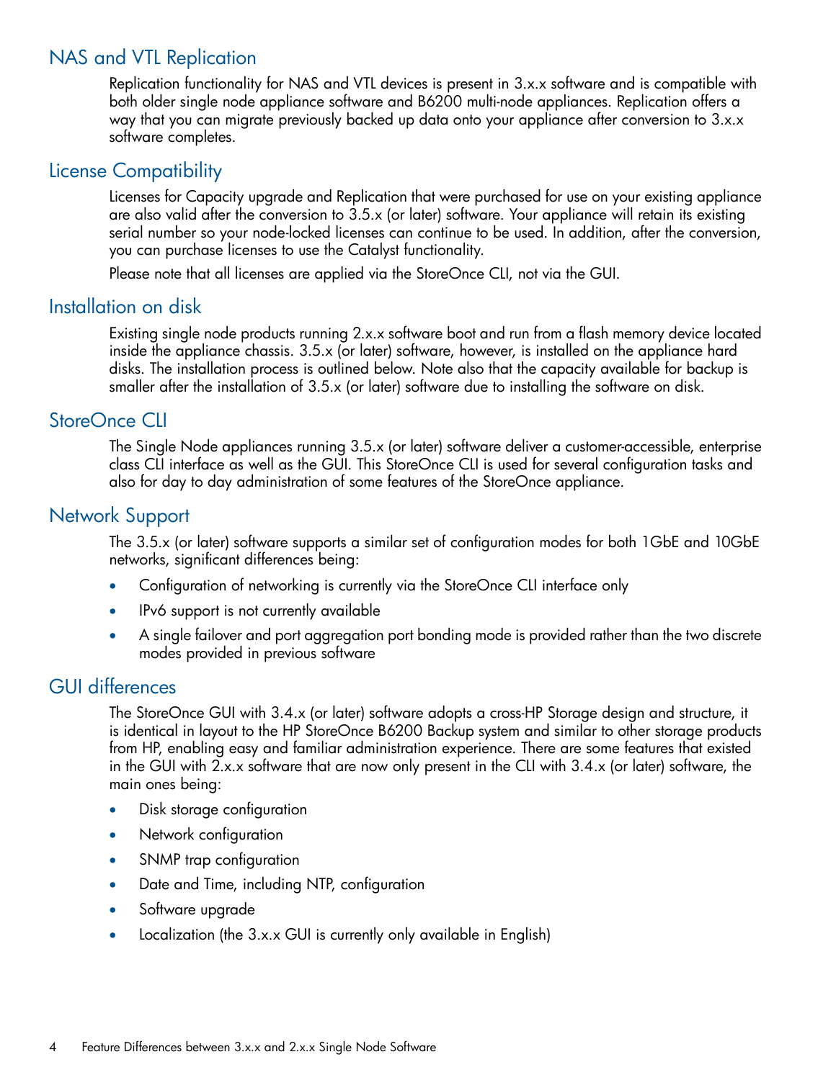### NAS and VTL Replication

Replication functionality for NAS and VTL devices is present in 3.x.x software and is compatible with both older single node appliance software and B6200 multi-node appliances. Replication offers a way that you can migrate previously backed up data onto your appliance after conversion to 3.x.x software completes.

### License Compatibility

Licenses for Capacity upgrade and Replication that were purchased for use on your existing appliance are also valid after the conversion to 3.5.x (or later) software. Your appliance will retain its existing serial number so your node-locked licenses can continue to be used. In addition, after the conversion, you can purchase licenses to use the Catalyst functionality.

Please note that all licenses are applied via the StoreOnce CLI, not via the GUI.

### Installation on disk

Existing single node products running 2.x.x software boot and run from a flash memory device located inside the appliance chassis. 3.5.x (or later) software, however, is installed on the appliance hard disks. The installation process is outlined below. Note also that the capacity available for backup is smaller after the installation of 3.5.x (or later) software due to installing the software on disk.

### StoreOnce CLI

The Single Node appliances running 3.5.x (or later) software deliver a customer-accessible, enterprise class CLI interface as well as the GUI. This StoreOnce CLI is used for several configuration tasks and also for day to day administration of some features of the StoreOnce appliance.

### Network Support

The 3.5.x (or later) software supports a similar set of configuration modes for both 1GbE and 10GbE networks, significant differences being:

- Configuration of networking is currently via the StoreOnce CLI interface only
- IPv6 support is not currently available
- A single failover and port aggregation port bonding mode is provided rather than the two discrete modes provided in previous software

### GUI differences

The StoreOnce GUI with 3.4.x (or later) software adopts a cross-HP Storage design and structure, it is identical in layout to the HP StoreOnce B6200 Backup system and similar to other storage products from HP, enabling easy and familiar administration experience. There are some features that existed in the GUI with 2.x.x software that are now only present in the CLI with 3.4.x (or later) software, the main ones being:

- Disk storage configuration
- Network configuration
- SNMP trap configuration
- Date and Time, including NTP, configuration
- Software upgrade
- Localization (the 3.x.x GUI is currently only available in English)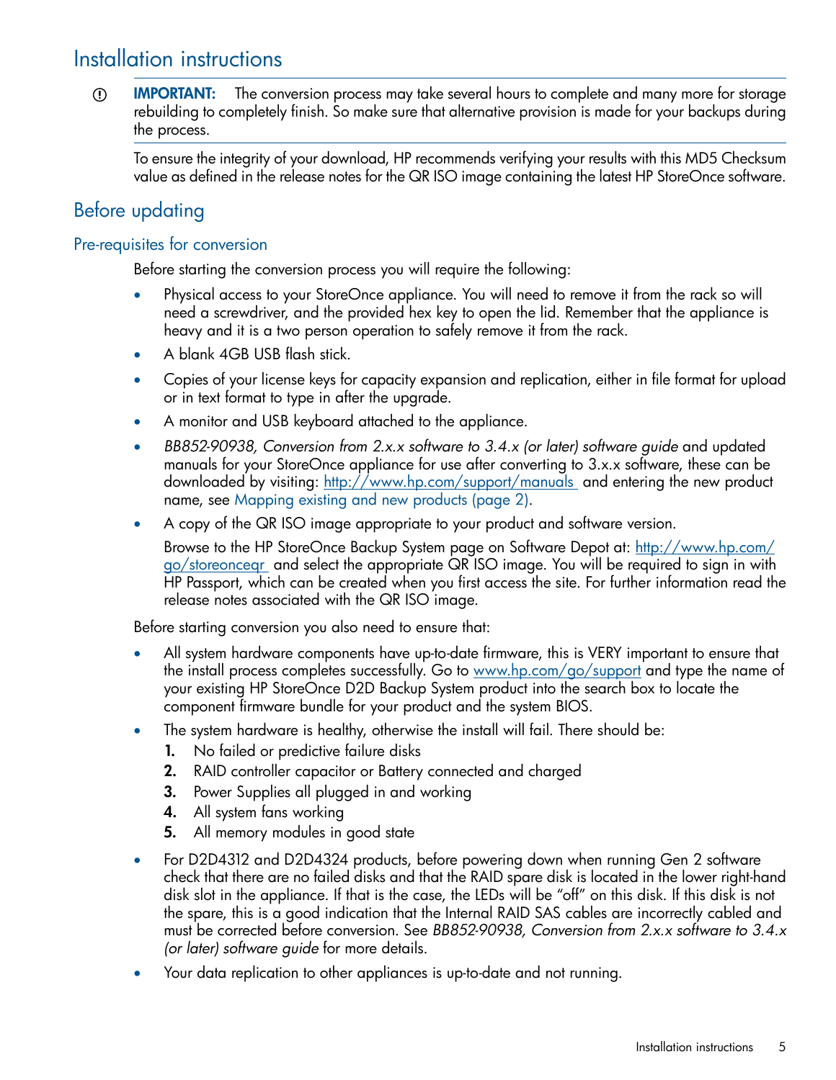# Installation instructions

**IMPORTANT:** The conversion process may take several hours to complete and many more for storage  $\circled{r}$ rebuilding to completely finish. So make sure that alternative provision is made for your backups during the process.

To ensure the integrity of your download, HP recommends verifying your results with this MD5 Checksum value as defined in the release notes for the QR ISO image containing the latest HP StoreOnce software.

### Before updating

#### Pre-requisites for conversion

Before starting the conversion process you will require the following:

- Physical access to your StoreOnce appliance. You will need to remove it from the rack so will need a screwdriver, and the provided hex key to open the lid. Remember that the appliance is heavy and it is a two person operation to safely remove it from the rack.
- A blank 4GB USB flash stick.
- Copies of your license keys for capacity expansion and replication, either in file format for upload or in text format to type in after the upgrade.
- A monitor and USB keyboard attached to the appliance.
- *BB852-90938, Conversion from 2.x.x software to 3.4.x (or later) software guide* and updated manuals for your StoreOnce appliance for use after converting to 3.x.x software, these can be downloaded by visiting: <http://www.hp.com/support/manuals> and entering the new product name, see [Mapping](#page-1-0) existing and new products [\(page](#page-1-0) 2).
- A copy of the QR ISO image appropriate to your product and software version.

Browse to the HP StoreOnce Backup System page on Software Depot at: [http://www.hp.com/](http://www.hp.com/go/storeonceqr) [go/storeonceqr](http://www.hp.com/go/storeonceqr) and select the appropriate QR ISO image. You will be required to sign in with HP Passport, which can be created when you first access the site. For further information read the release notes associated with the QR ISO image.

Before starting conversion you also need to ensure that:

- All system hardware components have up-to-date firmware, this is VERY important to ensure that the install process completes successfully. Go to <www.hp.com/go/support> and type the name of your existing HP StoreOnce D2D Backup System product into the search box to locate the component firmware bundle for your product and the system BIOS.
- The system hardware is healthy, otherwise the install will fail. There should be:
	- 1. No failed or predictive failure disks
	- 2. RAID controller capacitor or Battery connected and charged
	- 3. Power Supplies all plugged in and working
	- 4. All system fans working
	- 5. All memory modules in good state
- For D2D4312 and D2D4324 products, before powering down when running Gen 2 software check that there are no failed disks and that the RAID spare disk is located in the lower right-hand disk slot in the appliance. If that is the case, the LEDs will be "off" on this disk. If this disk is not the spare, this is a good indication that the Internal RAID SAS cables are incorrectly cabled and must be corrected before conversion. See *BB852-90938, Conversion from 2.x.x software to 3.4.x (or later) software guide* for more details.
- Your data replication to other appliances is up-to-date and not running.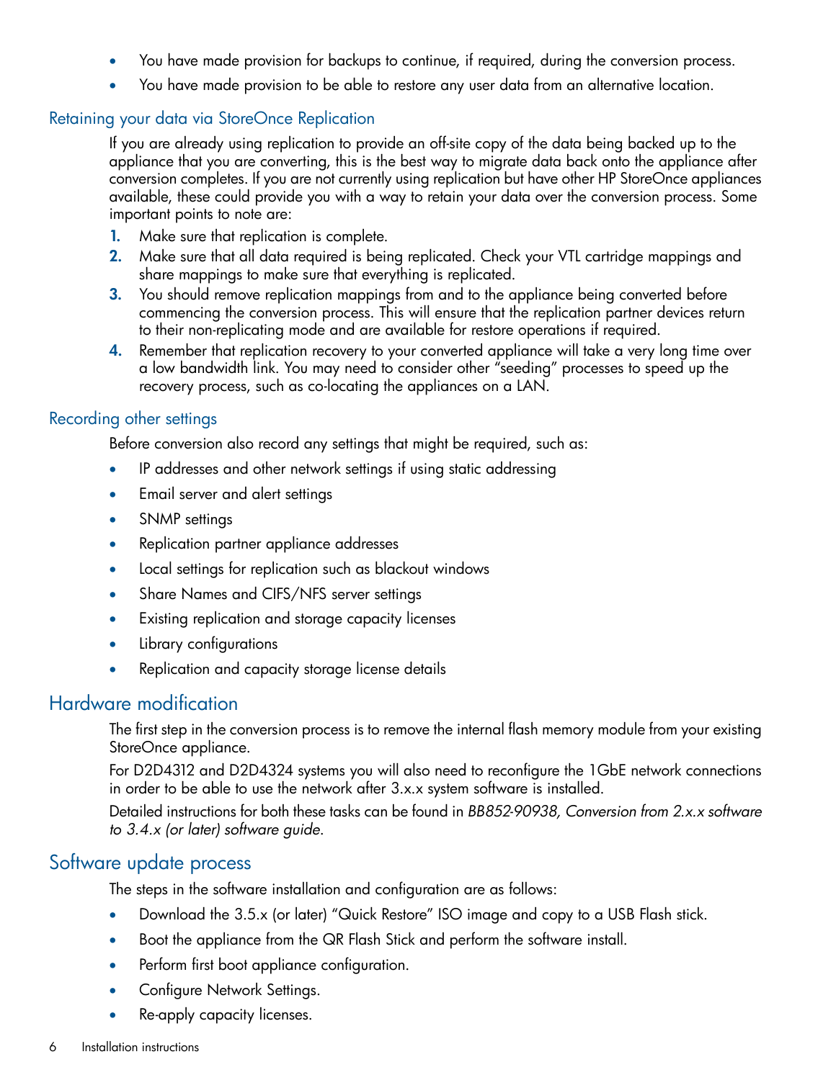- You have made provision for backups to continue, if required, during the conversion process.
- You have made provision to be able to restore any user data from an alternative location.

#### Retaining your data via StoreOnce Replication

If you are already using replication to provide an off-site copy of the data being backed up to the appliance that you are converting, this is the best way to migrate data back onto the appliance after conversion completes. If you are not currently using replication but have other HP StoreOnce appliances available, these could provide you with a way to retain your data over the conversion process. Some important points to note are:

- 1. Make sure that replication is complete.
- 2. Make sure that all data required is being replicated. Check your VTL cartridge mappings and share mappings to make sure that everything is replicated.
- 3. You should remove replication mappings from and to the appliance being converted before commencing the conversion process. This will ensure that the replication partner devices return to their non-replicating mode and are available for restore operations if required.
- 4. Remember that replication recovery to your converted appliance will take a very long time over a low bandwidth link. You may need to consider other "seeding" processes to speed up the recovery process, such as co-locating the appliances on a LAN.

#### Recording other settings

Before conversion also record any settings that might be required, such as:

- IP addresses and other network settings if using static addressing
- Email server and alert settings
- SNMP settings
- Replication partner appliance addresses
- Local settings for replication such as blackout windows
- Share Names and CIFS/NFS server settings
- Existing replication and storage capacity licenses
- Library configurations
- Replication and capacity storage license details

### Hardware modification

The first step in the conversion process is to remove the internal flash memory module from your existing StoreOnce appliance.

For D2D4312 and D2D4324 systems you will also need to reconfigure the 1GbE network connections in order to be able to use the network after 3.x.x system software is installed.

Detailed instructions for both these tasks can be found in *BB852-90938, Conversion from 2.x.x software to 3.4.x (or later) software guide*.

### Software update process

The steps in the software installation and configuration are as follows:

- Download the 3.5.x (or later) "Quick Restore" ISO image and copy to a USB Flash stick.
- Boot the appliance from the QR Flash Stick and perform the software install.
- Perform first boot appliance configuration.
- Configure Network Settings.
- Re-apply capacity licenses.